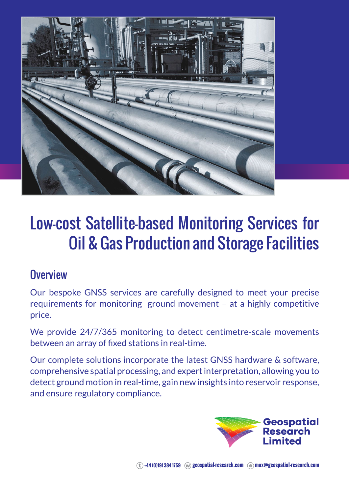

## Low-cost Satellite-based Monitoring Services for Oil & Gas Production and Storage Facilities

## **Overview**

Our bespoke GNSS services are carefully designed to meet your precise requirements for monitoring ground movement – at a highly competitive price.

We provide 24/7/365 monitoring to detect centimetre-scale movements between an array of fixed stations in real-time.

Our complete solutions incorporate the latest GNSS hardware & software, comprehensive spatial processing, and expert interpretation, allowing you to detect ground motion in real-time, gain new insights into reservoir response, and ensure regulatory compliance.